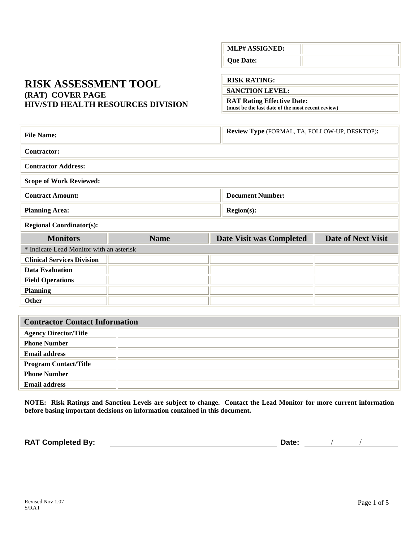## **RISK ASSESSMENT TOOL (RAT) COVER PAGE HIV/STD HEALTH RESOURCES DIVISION**

#### **RISK RATING:**

**Que Date:** 

**SANCTION LEVEL:** 

**MLP# ASSIGNED:** 

**RAT Rating Effective Date: (must be the last date of the most recent review)**

| <b>File Name:</b>                          |             | Review Type (FORMAL, TA, FOLLOW-UP, DESKTOP): |                           |  |  |
|--------------------------------------------|-------------|-----------------------------------------------|---------------------------|--|--|
| <b>Contractor:</b>                         |             |                                               |                           |  |  |
| <b>Contractor Address:</b>                 |             |                                               |                           |  |  |
| <b>Scope of Work Reviewed:</b>             |             |                                               |                           |  |  |
| <b>Contract Amount:</b>                    |             | <b>Document Number:</b>                       |                           |  |  |
| <b>Region(s):</b><br><b>Planning Area:</b> |             |                                               |                           |  |  |
| <b>Regional Coordinator(s):</b>            |             |                                               |                           |  |  |
| <b>Monitors</b>                            | <b>Name</b> | Date Visit was Completed                      | <b>Date of Next Visit</b> |  |  |
|                                            |             |                                               |                           |  |  |
| * Indicate Lead Monitor with an asterisk   |             |                                               |                           |  |  |
| <b>Clinical Services Division</b>          |             |                                               |                           |  |  |
| <b>Data Evaluation</b>                     |             |                                               |                           |  |  |
| <b>Field Operations</b>                    |             |                                               |                           |  |  |
| <b>Planning</b>                            |             |                                               |                           |  |  |
| <b>Other</b>                               |             |                                               |                           |  |  |
|                                            |             |                                               |                           |  |  |

| Contractor Contact Information |  |  |  |  |
|--------------------------------|--|--|--|--|
| <b>Agency Director/Title</b>   |  |  |  |  |
| <b>Phone Number</b>            |  |  |  |  |
| <b>Email address</b>           |  |  |  |  |
| <b>Program Contact/Title</b>   |  |  |  |  |
| <b>Phone Number</b>            |  |  |  |  |
| <b>Email address</b>           |  |  |  |  |

**NOTE: Risk Ratings and Sanction Levels are subject to change. Contact the Lead Monitor for more current information before basing important decisions on information contained in this document.** 

**RAT Completed By:**  $\qquad \qquad$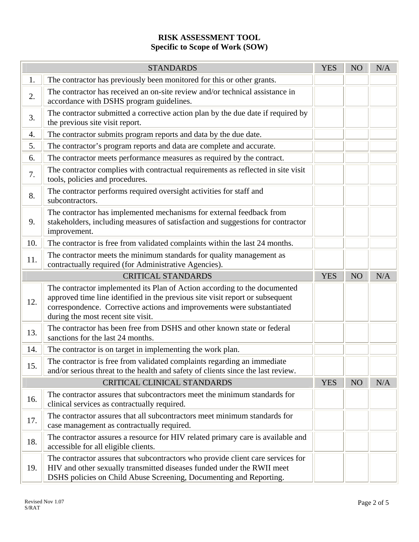# **RISK ASSESSMENT TOOL Specific to Scope of Work (SOW)**

| <b>STANDARDS</b>                   |                                                                                                                                                                                                                                                                            | <b>YES</b> | NO              | N/A |
|------------------------------------|----------------------------------------------------------------------------------------------------------------------------------------------------------------------------------------------------------------------------------------------------------------------------|------------|-----------------|-----|
| 1.                                 | The contractor has previously been monitored for this or other grants.                                                                                                                                                                                                     |            |                 |     |
| 2.                                 | The contractor has received an on-site review and/or technical assistance in<br>accordance with DSHS program guidelines.                                                                                                                                                   |            |                 |     |
| 3.                                 | The contractor submitted a corrective action plan by the due date if required by<br>the previous site visit report.                                                                                                                                                        |            |                 |     |
| 4.                                 | The contractor submits program reports and data by the due date.                                                                                                                                                                                                           |            |                 |     |
| 5.                                 | The contractor's program reports and data are complete and accurate.                                                                                                                                                                                                       |            |                 |     |
| 6.                                 | The contractor meets performance measures as required by the contract.                                                                                                                                                                                                     |            |                 |     |
| 7.                                 | The contractor complies with contractual requirements as reflected in site visit<br>tools, policies and procedures.                                                                                                                                                        |            |                 |     |
| 8.                                 | The contractor performs required oversight activities for staff and<br>subcontractors.                                                                                                                                                                                     |            |                 |     |
| 9.                                 | The contractor has implemented mechanisms for external feedback from<br>stakeholders, including measures of satisfaction and suggestions for contractor<br>improvement.                                                                                                    |            |                 |     |
| 10.                                | The contractor is free from validated complaints within the last 24 months.                                                                                                                                                                                                |            |                 |     |
| 11.                                | The contractor meets the minimum standards for quality management as<br>contractually required (for Administrative Agencies).                                                                                                                                              |            |                 |     |
|                                    | <b>CRITICAL STANDARDS</b>                                                                                                                                                                                                                                                  | <b>YES</b> | NO <sub>1</sub> | N/A |
| 12.                                | The contractor implemented its Plan of Action according to the documented<br>approved time line identified in the previous site visit report or subsequent<br>correspondence. Corrective actions and improvements were substantiated<br>during the most recent site visit. |            |                 |     |
| 13.                                | The contractor has been free from DSHS and other known state or federal<br>sanctions for the last 24 months.                                                                                                                                                               |            |                 |     |
| 14.                                | The contractor is on target in implementing the work plan.                                                                                                                                                                                                                 |            |                 |     |
| 15.                                | The contractor is free from validated complaints regarding an immediate<br>and/or serious threat to the health and safety of clients since the last review.                                                                                                                |            |                 |     |
| <b>CRITICAL CLINICAL STANDARDS</b> |                                                                                                                                                                                                                                                                            | <b>YES</b> | NO              | N/A |
| 16.                                | The contractor assures that subcontractors meet the minimum standards for<br>clinical services as contractually required.                                                                                                                                                  |            |                 |     |
| 17.                                | The contractor assures that all subcontractors meet minimum standards for<br>case management as contractually required.                                                                                                                                                    |            |                 |     |
| 18.                                | The contractor assures a resource for HIV related primary care is available and<br>accessible for all eligible clients.                                                                                                                                                    |            |                 |     |
| 19.                                | The contractor assures that subcontractors who provide client care services for<br>HIV and other sexually transmitted diseases funded under the RWII meet<br>DSHS policies on Child Abuse Screening, Documenting and Reporting.                                            |            |                 |     |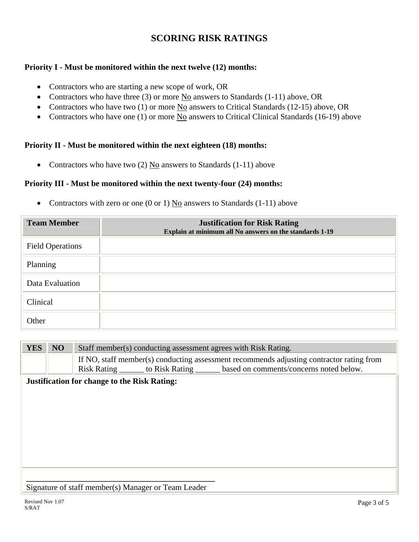# **SCORING RISK RATINGS**

### **Priority I - Must be monitored within the next twelve (12) months:**

- Contractors who are starting a new scope of work, OR
- Contractors who have three (3) or more  $\underline{No}$  answers to Standards (1-11) above, OR
- Contractors who have two (1) or more No answers to Critical Standards (12-15) above, OR
- Contractors who have one (1) or more No answers to Critical Clinical Standards (16-19) above

#### **Priority II - Must be monitored within the next eighteen (18) months:**

• Contractors who have two  $(2)$  No answers to Standards  $(1-11)$  above

#### **Priority III - Must be monitored within the next twenty-four (24) months:**

• Contractors with zero or one (0 or 1)  $\underline{No}$  answers to Standards (1-11) above

| <b>Team Member</b>      | <b>Justification for Risk Rating</b><br>Explain at minimum all No answers on the standards 1-19 |
|-------------------------|-------------------------------------------------------------------------------------------------|
| <b>Field Operations</b> |                                                                                                 |
| Planning                |                                                                                                 |
| Data Evaluation         |                                                                                                 |
| Clinical                |                                                                                                 |
| Other                   |                                                                                                 |

| <b>YES</b>                                          | NO | Staff member(s) conducting assessment agrees with Risk Rating.                                                                                                                 |  |  |
|-----------------------------------------------------|----|--------------------------------------------------------------------------------------------------------------------------------------------------------------------------------|--|--|
|                                                     |    | If NO, staff member(s) conducting assessment recommends adjusting contractor rating from<br>Risk Rating _______ to Risk Rating _______ based on comments/concerns noted below. |  |  |
| <b>Justification for change to the Risk Rating:</b> |    |                                                                                                                                                                                |  |  |
|                                                     |    |                                                                                                                                                                                |  |  |
|                                                     |    |                                                                                                                                                                                |  |  |
|                                                     |    |                                                                                                                                                                                |  |  |
|                                                     |    |                                                                                                                                                                                |  |  |
|                                                     |    |                                                                                                                                                                                |  |  |
|                                                     |    |                                                                                                                                                                                |  |  |
|                                                     |    |                                                                                                                                                                                |  |  |
|                                                     |    |                                                                                                                                                                                |  |  |
| Signature of staff member(s) Manager or Team Leader |    |                                                                                                                                                                                |  |  |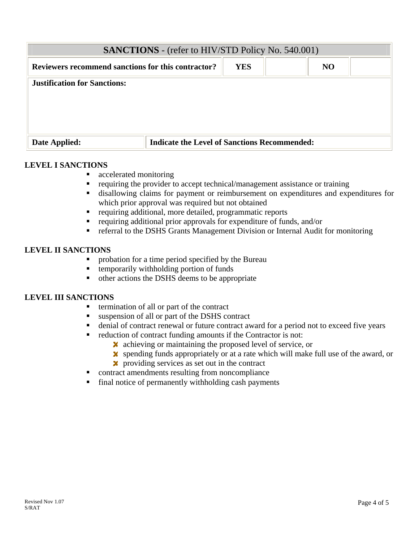| <b>SANCTIONS</b> - (refer to HIV/STD Policy No. 540.001) |                                                     |            |  |           |  |
|----------------------------------------------------------|-----------------------------------------------------|------------|--|-----------|--|
| Reviewers recommend sanctions for this contractor?       |                                                     | <b>YES</b> |  | <b>NO</b> |  |
| <b>Justification for Sanctions:</b>                      |                                                     |            |  |           |  |
| Date Applied:                                            | <b>Indicate the Level of Sanctions Recommended:</b> |            |  |           |  |

#### **LEVEL I SANCTIONS**

- accelerated monitoring
- requiring the provider to accept technical/management assistance or training
- disallowing claims for payment or reimbursement on expenditures and expenditures for which prior approval was required but not obtained
- requiring additional, more detailed, programmatic reports
- requiring additional prior approvals for expenditure of funds, and/or
- referral to the DSHS Grants Management Division or Internal Audit for monitoring

#### **LEVEL II SANCTIONS**

- **•** probation for a time period specified by the Bureau
- temporarily withholding portion of funds
- other actions the DSHS deems to be appropriate

#### **LEVEL III SANCTIONS**

- termination of all or part of the contract
- suspension of all or part of the DSHS contract
- denial of contract renewal or future contract award for a period not to exceed five years
- reduction of contract funding amounts if the Contractor is not:
	- $\boldsymbol{\times}$  achieving or maintaining the proposed level of service, or
	- spending funds appropriately or at a rate which will make full use of the award, or
	- **x** providing services as set out in the contract
- contract amendments resulting from noncompliance
- $\blacksquare$  final notice of permanently withholding cash payments